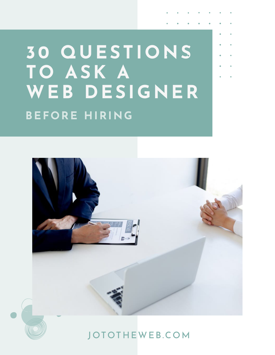# **30 QUESTIONS TO ASK A WEB DESIGNER BEFORE HIRING**





### [JOTOTHEWEB.COM](https://jototheweb.com)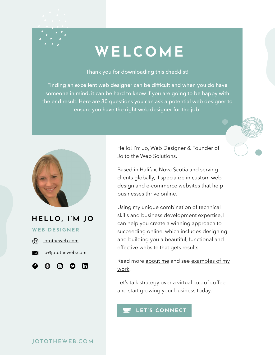## **WELCOME**

Thank you for downloading this checklist!

Finding an excellent web designer can be difficult and when you do have someone in mind, it can be hard to know if you are going to be happy with the end result. Here are 30 questions you can ask a potential web designer to ensure you have the right web designer for the job!



### **HELLO, I'M JO**

#### **WEB DESIGNER**



A



രി

in

Hello! I'm Jo, Web Designer & Founder of Jo to the Web Solutions.

Based in Halifax, Nova Scotia and serving clients globally, I specialize in [custom web](https://jototheweb.com/services) [design](https://jototheweb.com/services) and e-commerce websites that help businesses thrive online.

Using my unique combination of technical skills and business development expertise, I can help you create a winning approach to succeeding online, which includes designing and building you a beautiful, functional and effective website that gets results.

Read more [about me](https://jototheweb.com/about) and see [examples of my](https://jototheweb.com/portfolio) [work](https://jototheweb.com/portfolio).

Let's talk strategy over a virtual cup of coffee and start growing your business today.

#### **[LET'S CONNECT](https://jototheweb.com/contact)**